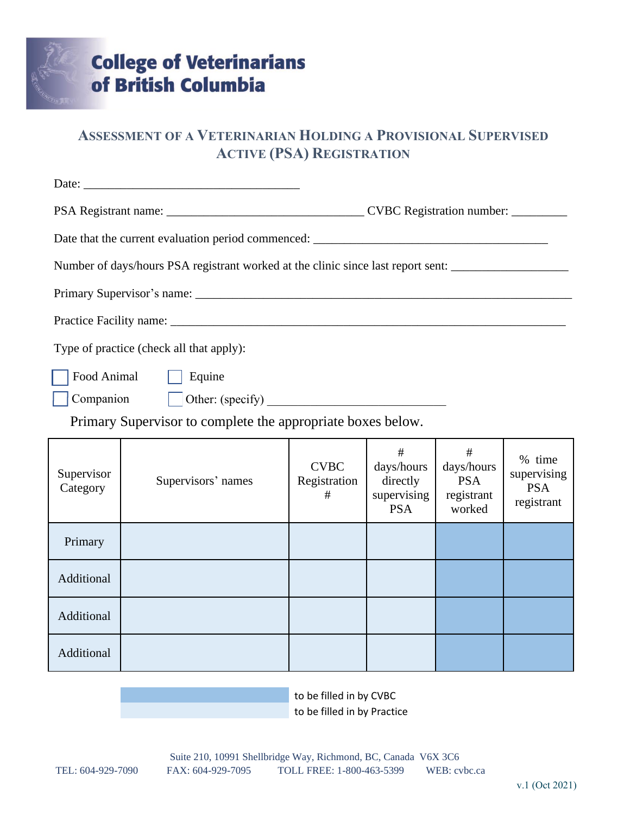

# **ASSESSMENT OF A VETERINARIAN HOLDING A PROVISIONAL SUPERVISED ACTIVE (PSA) REGISTRATION**

|                                                             | Number of days/hours PSA registrant worked at the clinic since last report sent: |                                  |                                                          |                                                       |                                                   |  |
|-------------------------------------------------------------|----------------------------------------------------------------------------------|----------------------------------|----------------------------------------------------------|-------------------------------------------------------|---------------------------------------------------|--|
|                                                             |                                                                                  |                                  |                                                          |                                                       |                                                   |  |
|                                                             |                                                                                  |                                  |                                                          |                                                       |                                                   |  |
|                                                             | Type of practice (check all that apply):                                         |                                  |                                                          |                                                       |                                                   |  |
| Food Animal<br>Equine                                       |                                                                                  |                                  |                                                          |                                                       |                                                   |  |
| Companion<br>$\vert$ Other: (specify)                       |                                                                                  |                                  |                                                          |                                                       |                                                   |  |
| Primary Supervisor to complete the appropriate boxes below. |                                                                                  |                                  |                                                          |                                                       |                                                   |  |
| Supervisor<br>Category                                      | Supervisors' names                                                               | <b>CVBC</b><br>Registration<br># | #<br>days/hours<br>directly<br>supervising<br><b>PSA</b> | #<br>days/hours<br><b>PSA</b><br>registrant<br>worked | % time<br>supervising<br><b>PSA</b><br>registrant |  |

Primary Additional Additional Additional

> to be filled in by CVBC to be filled in by Practice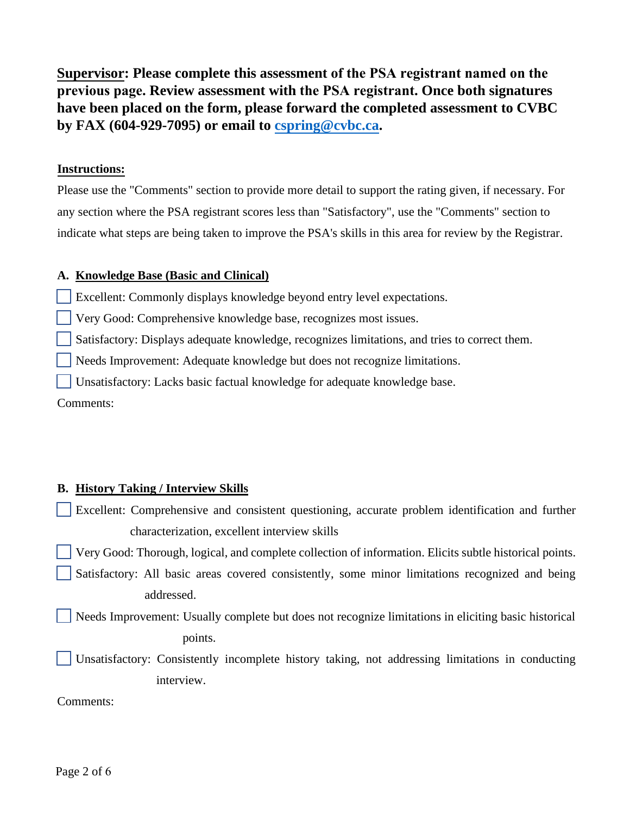**Supervisor: Please complete this assessment of the PSA registrant named on the previous page. Review assessment with the PSA registrant. Once both signatures have been placed on the form, please forward the completed assessment to CVBC by FAX (604-929-7095) or email to cspring@cvbc.ca.**

## **Instructions:**

Please use the "Comments" section to provide more detail to support the rating given, if necessary. For any section where the PSA registrant scores less than "Satisfactory", use the "Comments" section to indicate what steps are being taken to improve the PSA's skills in this area for review by the Registrar.

## **A. Knowledge Base (Basic and Clinical)**

Excellent: Commonly displays knowledge beyond entry level expectations.

Very Good: Comprehensive knowledge base, recognizes most issues.

Satisfactory: Displays adequate knowledge, recognizes limitations, and tries to correct them.

Needs Improvement: Adequate knowledge but does not recognize limitations.

Unsatisfactory: Lacks basic factual knowledge for adequate knowledge base.

Comments:

# **B. History Taking / Interview Skills**

Excellent: Comprehensive and consistent questioning, accurate problem identification and further characterization, excellent interview skills

Very Good: Thorough, logical, and complete collection of information. Elicits subtle historical points.

 Satisfactory: All basic areas covered consistently, some minor limitations recognized and being addressed.

 Needs Improvement: Usually complete but does not recognize limitations in eliciting basic historical points.

 Unsatisfactory: Consistently incomplete history taking, not addressing limitations in conducting interview.

Comments: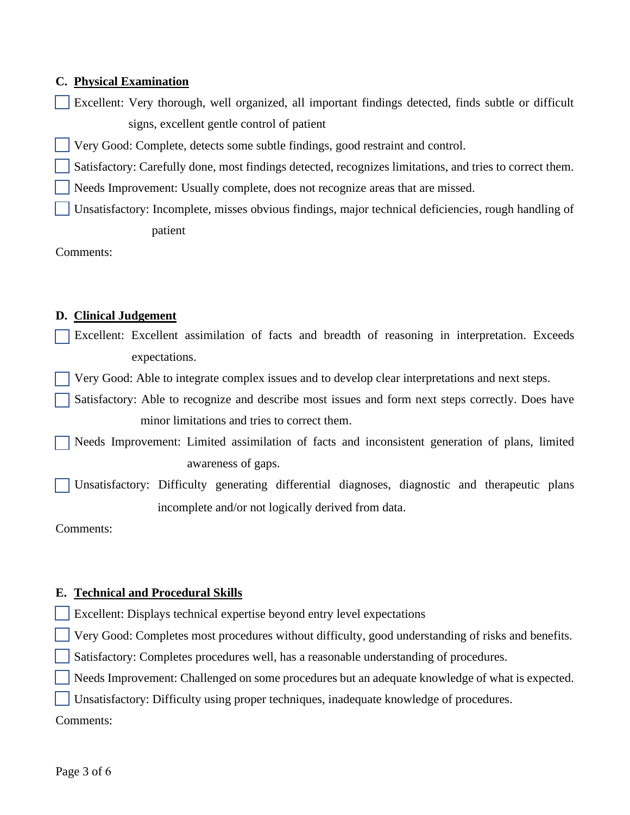## **C. Physical Examination**

- Excellent: Very thorough, well organized, all important findings detected, finds subtle or difficult signs, excellent gentle control of patient
- Very Good: Complete, detects some subtle findings, good restraint and control.
- Satisfactory: Carefully done, most findings detected, recognizes limitations, and tries to correct them.
- Needs Improvement: Usually complete, does not recognize areas that are missed.
- Unsatisfactory: Incomplete, misses obvious findings, major technical deficiencies, rough handling of patient

Comments:

## **D. Clinical Judgement**

Excellent: Excellent assimilation of facts and breadth of reasoning in interpretation. Exceeds expectations.

Very Good: Able to integrate complex issues and to develop clear interpretations and next steps.

 Satisfactory: Able to recognize and describe most issues and form next steps correctly. Does have minor limitations and tries to correct them.

 Needs Improvement: Limited assimilation of facts and inconsistent generation of plans, limited awareness of gaps.

 Unsatisfactory: Difficulty generating differential diagnoses, diagnostic and therapeutic plans incomplete and/or not logically derived from data.

Comments:

## **E. Technical and Procedural Skills**

Excellent: Displays technical expertise beyond entry level expectations

Very Good: Completes most procedures without difficulty, good understanding of risks and benefits.

Satisfactory: Completes procedures well, has a reasonable understanding of procedures.

Needs Improvement: Challenged on some procedures but an adequate knowledge of what is expected.

Unsatisfactory: Difficulty using proper techniques, inadequate knowledge of procedures.

Comments: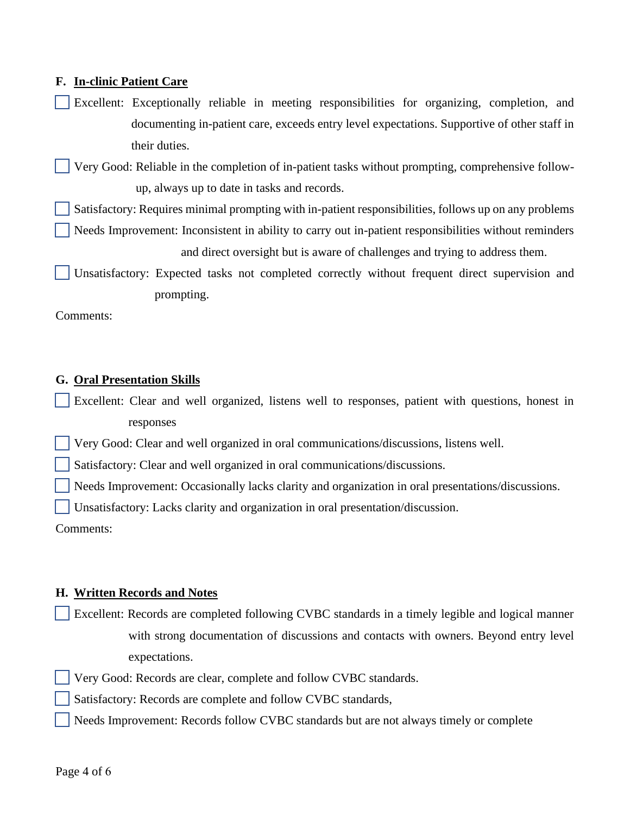## **F. In-clinic Patient Care**

Excellent: Exceptionally reliable in meeting responsibilities for organizing, completion, and documenting in-patient care, exceeds entry level expectations. Supportive of other staff in their duties.

 Very Good: Reliable in the completion of in-patient tasks without prompting, comprehensive followup, always up to date in tasks and records.

Satisfactory: Requires minimal prompting with in-patient responsibilities, follows up on any problems

 Needs Improvement: Inconsistent in ability to carry out in-patient responsibilities without reminders and direct oversight but is aware of challenges and trying to address them.

 Unsatisfactory: Expected tasks not completed correctly without frequent direct supervision and prompting.

Comments:

#### **G. Oral Presentation Skills**

Excellent: Clear and well organized, listens well to responses, patient with questions, honest in responses

Very Good: Clear and well organized in oral communications/discussions, listens well.

Satisfactory: Clear and well organized in oral communications/discussions.

Needs Improvement: Occasionally lacks clarity and organization in oral presentations/discussions.

Unsatisfactory: Lacks clarity and organization in oral presentation/discussion.

Comments:

#### **H. Written Records and Notes**

Excellent: Records are completed following CVBC standards in a timely legible and logical manner with strong documentation of discussions and contacts with owners. Beyond entry level expectations.

Very Good: Records are clear, complete and follow CVBC standards.

Satisfactory: Records are complete and follow CVBC standards,

Needs Improvement: Records follow CVBC standards but are not always timely or complete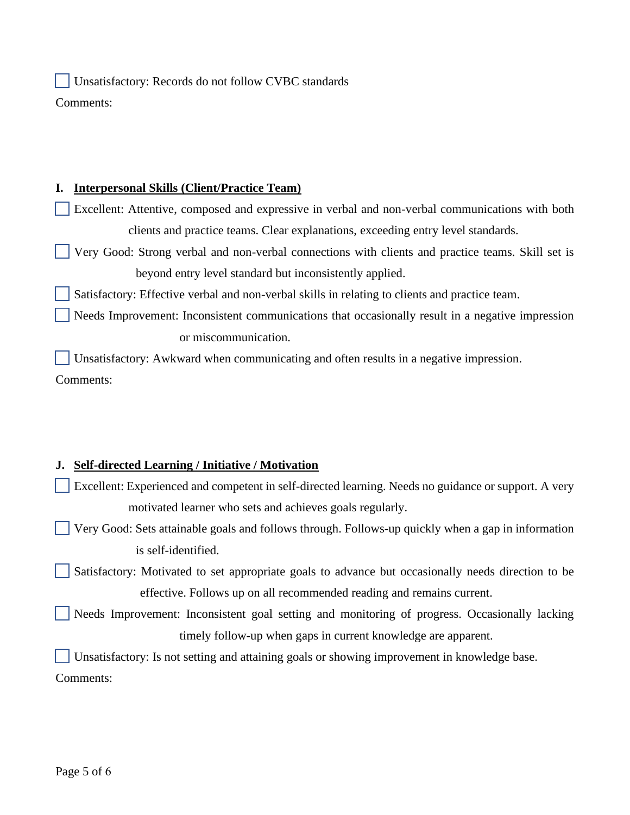Unsatisfactory: Records do not follow CVBC standards Comments:

## **I. Interpersonal Skills (Client/Practice Team)**

Excellent: Attentive, composed and expressive in verbal and non-verbal communications with both clients and practice teams. Clear explanations, exceeding entry level standards.

 Very Good: Strong verbal and non-verbal connections with clients and practice teams. Skill set is beyond entry level standard but inconsistently applied.

Satisfactory: Effective verbal and non-verbal skills in relating to clients and practice team.

 Needs Improvement: Inconsistent communications that occasionally result in a negative impression or miscommunication.

 Unsatisfactory: Awkward when communicating and often results in a negative impression. Comments:

# **J. Self-directed Learning / Initiative / Motivation**

- Excellent: Experienced and competent in self-directed learning. Needs no guidance or support. A very motivated learner who sets and achieves goals regularly.
- Very Good: Sets attainable goals and follows through. Follows-up quickly when a gap in information is self-identified.

 Satisfactory: Motivated to set appropriate goals to advance but occasionally needs direction to be effective. Follows up on all recommended reading and remains current.

 Needs Improvement: Inconsistent goal setting and monitoring of progress. Occasionally lacking timely follow-up when gaps in current knowledge are apparent.

Unsatisfactory: Is not setting and attaining goals or showing improvement in knowledge base.

Comments: